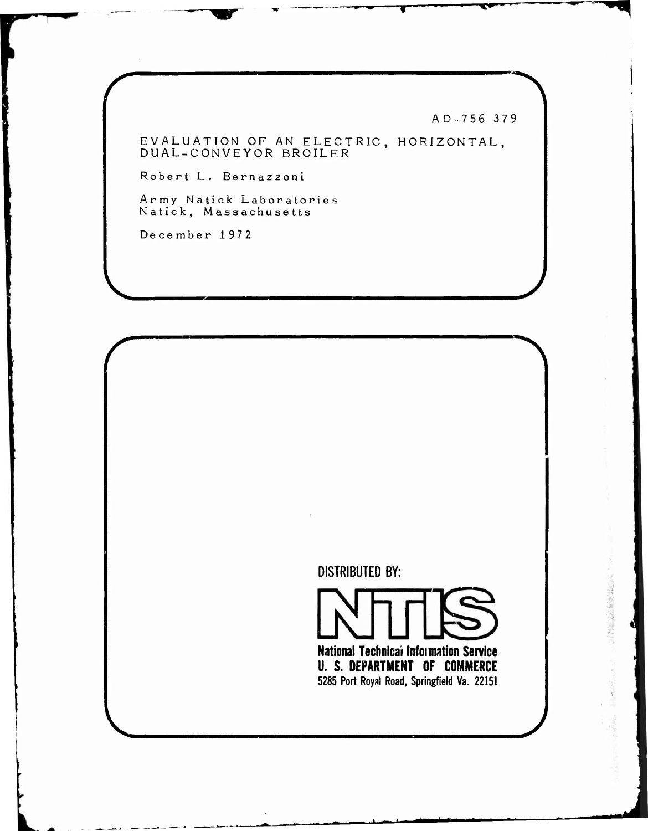**^** AD-756 379

**^p—**

EVALUATION OF AN ELECTRIC, HORIZONTAL, DUAL-CONVEYOR BROILER

Robert L. Bernazzoni

Army Natick Laboratories Natick, Massachusetts

December 1972

DISTRIBUTED BY:



2000年4月

**\*-ii**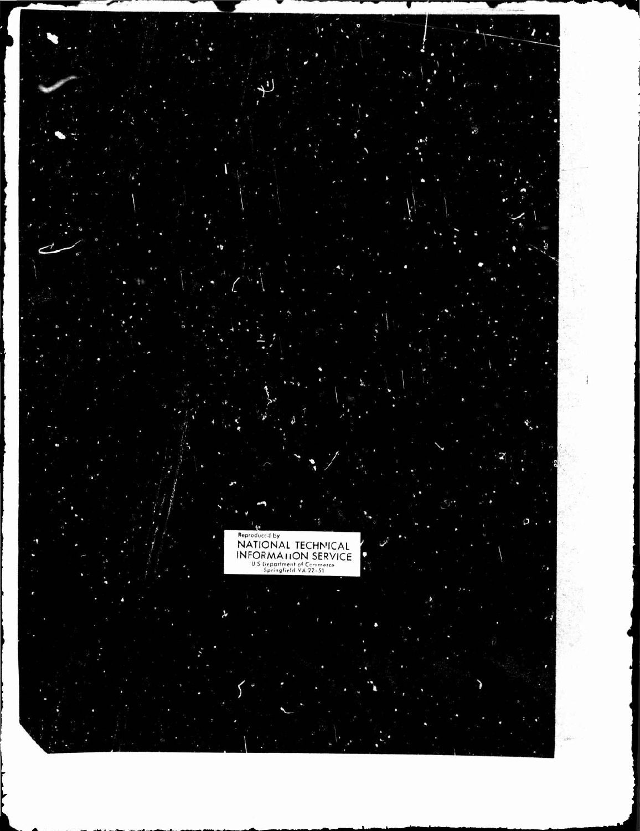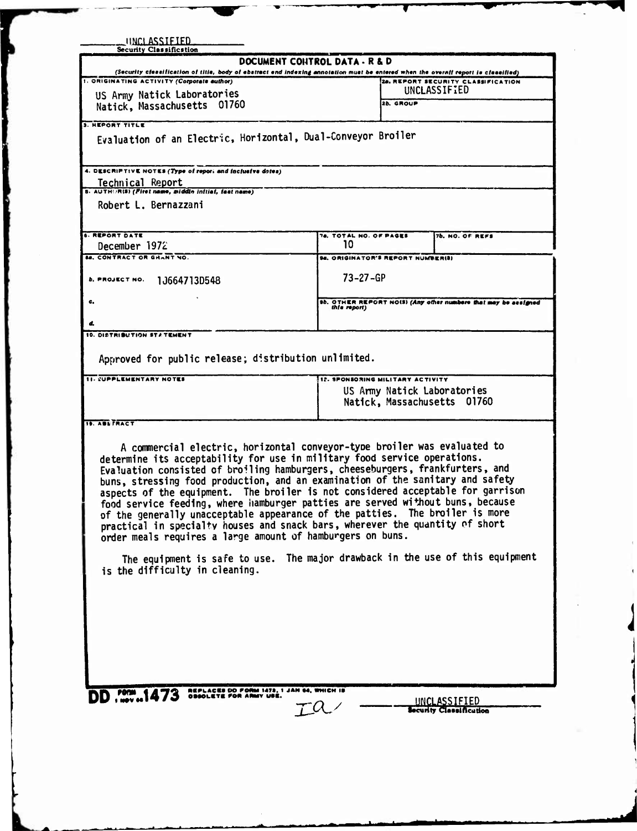|                                                                                                                                                                                                                                                                                                                                                                                                 | <b>DOCUMENT CONTROL DATA - R &amp; D</b><br>(Security cleasification of title, body of ebstract end indexing annotation must be entered when the overall report is cleasified) |                                                                |
|-------------------------------------------------------------------------------------------------------------------------------------------------------------------------------------------------------------------------------------------------------------------------------------------------------------------------------------------------------------------------------------------------|--------------------------------------------------------------------------------------------------------------------------------------------------------------------------------|----------------------------------------------------------------|
| 1. ORIGINATING ACTIVITY (Corporate author)                                                                                                                                                                                                                                                                                                                                                      |                                                                                                                                                                                | 20. REPORT SECURITY CLASSIFICATION                             |
| US Army Natick Laboratories                                                                                                                                                                                                                                                                                                                                                                     | 2b. GROUP                                                                                                                                                                      | UNCLASSIFIED                                                   |
| Natick, Massachusetts 01760                                                                                                                                                                                                                                                                                                                                                                     |                                                                                                                                                                                |                                                                |
| <b>3. HEPORT TITLE</b><br>Evaluation of an Electric, Horizontal, Dual-Conveyor Broiler                                                                                                                                                                                                                                                                                                          |                                                                                                                                                                                |                                                                |
| 4. DESCRIPTIVE NOTES (Type of report and factualve dates)                                                                                                                                                                                                                                                                                                                                       |                                                                                                                                                                                |                                                                |
| Technical Report<br>5. AUTHOR(S) (Firet name, middle initial, last name)                                                                                                                                                                                                                                                                                                                        |                                                                                                                                                                                |                                                                |
| Robert L. Bernazzani                                                                                                                                                                                                                                                                                                                                                                            |                                                                                                                                                                                |                                                                |
| <b>6. REPORT DATE</b><br>December 1972                                                                                                                                                                                                                                                                                                                                                          | <b>78. TOTAL NO. OF PAGES</b><br>10                                                                                                                                            | 76. NO. OF REFS                                                |
| <b>68. CONTRACT OR GHANT NO.</b>                                                                                                                                                                                                                                                                                                                                                                | <b>94. ORIGINATOR'S REPORT NUMBER(3)</b>                                                                                                                                       |                                                                |
| <b>b. PROJECT NO.</b><br>1J664713D548                                                                                                                                                                                                                                                                                                                                                           | $73 - 27 - GP$                                                                                                                                                                 |                                                                |
|                                                                                                                                                                                                                                                                                                                                                                                                 | this report)                                                                                                                                                                   | 9b. OTHER REPORT NOIS) (Any other numbers that may be assigned |
|                                                                                                                                                                                                                                                                                                                                                                                                 |                                                                                                                                                                                |                                                                |
|                                                                                                                                                                                                                                                                                                                                                                                                 |                                                                                                                                                                                |                                                                |
| <b>18. ABLIRACT</b><br>A commercial electric, horizontal conveyor-type broiler was evaluated to<br>determine its acceptability for use in military food service operations.<br>Evaluation consisted of broiling hamburgers, cheeseburgers, frankfurters, and<br>buns, stressing food production, and an examination of the sanitary and safety                                                  | US Army Natick Laboratories                                                                                                                                                    | Natick, Massachusetts 01760                                    |
| aspects of the equipment. The broiler is not considered acceptable for garrison<br>food service feeding, where hamburger patties are served without buns, because<br>of the generally unacceptable appearance of the patties. The broiler is more<br>practical in specialty houses and snack bars, wherever the quantity of short<br>order meals requires a large amount of hamburgers on buns. |                                                                                                                                                                                |                                                                |
| The equipment is safe to use. The major drawback in the use of this equipment<br>is the difficulty in cleaning.                                                                                                                                                                                                                                                                                 |                                                                                                                                                                                |                                                                |
| REPLACES DO FORM 1473, 1 JAN 64, WHICH II<br>OBSOLETE FOR ARMY USE.                                                                                                                                                                                                                                                                                                                             |                                                                                                                                                                                |                                                                |
| <b>DD</b> 1473                                                                                                                                                                                                                                                                                                                                                                                  |                                                                                                                                                                                | UNCLASSIFIED<br>Security Classification                        |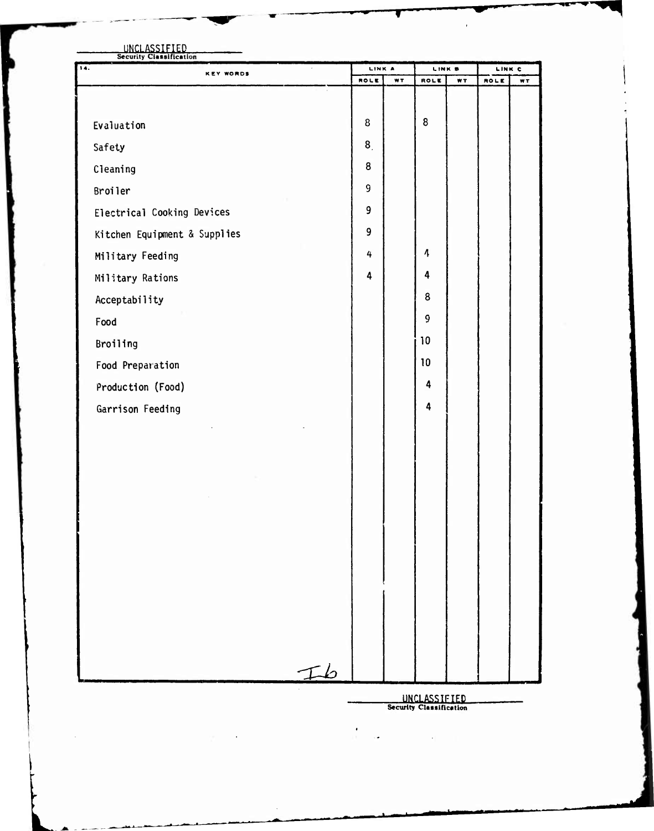| <b>Security Ciassification</b><br>$\overline{14}$ . | <b>LINK A</b>  |     | LINK B                                  |     | LINK C |           |
|-----------------------------------------------------|----------------|-----|-----------------------------------------|-----|--------|-----------|
| <b>KEY WORDS</b>                                    | ROLE           | WT. | ROLE                                    | WT. | ROLE   | <b>WT</b> |
|                                                     |                |     |                                         |     |        |           |
| Evaluation                                          | 8              |     | 8                                       |     |        |           |
| Safety                                              | 8 <sub>1</sub> |     |                                         |     |        |           |
| Cleaning                                            | 8              |     |                                         |     |        |           |
| <b>Broiler</b>                                      | 9              |     |                                         |     |        |           |
| Electrical Cooking Devices                          | 9              |     |                                         |     |        |           |
| Kitchen Equipment & Supplies                        | 9              |     |                                         |     |        |           |
| Military Feeding                                    | 4              |     | 4                                       |     |        |           |
| Military Rations                                    | 4              |     | 4                                       |     |        |           |
| Acceptability                                       |                |     | 8                                       |     |        |           |
| Food                                                |                |     | 9                                       |     |        |           |
| Broiling                                            |                |     | 10                                      |     |        |           |
| Food Preparation                                    |                |     | 10                                      |     |        |           |
| Production (Food)                                   |                |     | 4                                       |     |        |           |
| Garrison Feeding                                    |                |     | 4                                       |     |        |           |
|                                                     |                |     |                                         |     |        |           |
|                                                     |                |     |                                         |     |        |           |
|                                                     |                |     |                                         |     |        |           |
| $\sim$                                              |                |     |                                         |     |        |           |
|                                                     |                |     |                                         |     |        |           |
|                                                     |                |     |                                         |     |        |           |
|                                                     |                |     |                                         |     |        |           |
|                                                     |                |     |                                         |     |        |           |
|                                                     |                |     |                                         |     |        |           |
|                                                     |                |     |                                         |     |        |           |
|                                                     |                |     |                                         |     |        |           |
| $\n  16\n$                                          |                |     |                                         |     |        |           |
|                                                     |                |     |                                         |     |        |           |
|                                                     |                |     | UNCLASSIFIED<br>Security Classification |     |        |           |
| $\sim$ 100 $\pm$<br><b>Allen</b>                    | ٠              |     | $\cdot$                                 |     |        |           |
|                                                     |                |     |                                         |     |        |           |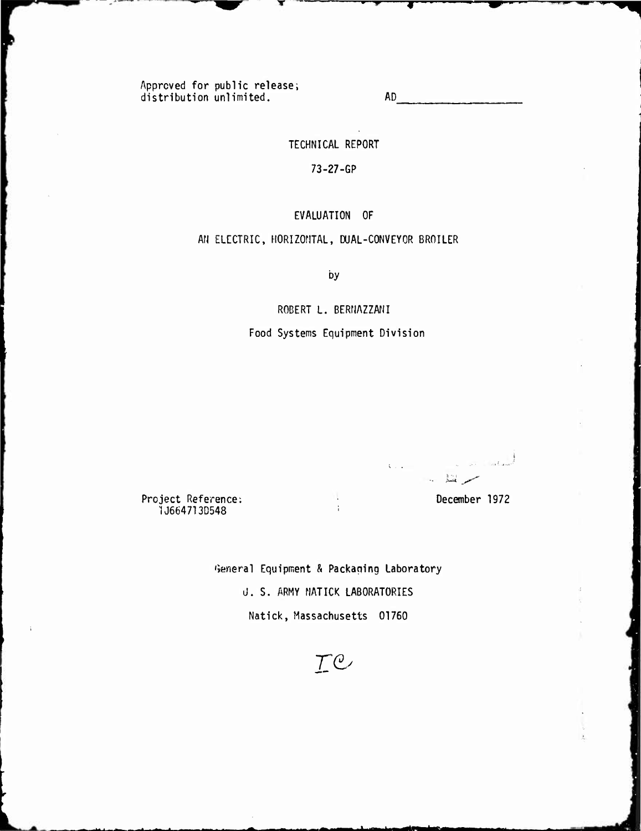Approved for public release;<br>distribution unlimited.

**AD** 

TECHNICAL REPORT

 $73 - 27 - GP$ 

EVALUATION OF

AN ELECTRIC, HORIZONTAL, DUAL-CONVEYOR BROILER

by

ROBERT L. BERNAZZANI

Food Systems Equipment Division

ا<br>منتقل ال  $\sqrt{2}$ ا التشكي<br>التشكي

December 1972

Project Reference:<br>1J664713D548

General Equipment & Packaging Laboratory

 $\overline{\phantom{a}}$  $\Lambda$ 

U. S. ARMY NATICK LABORATORIES

Natick, Massachusetts 01760

IC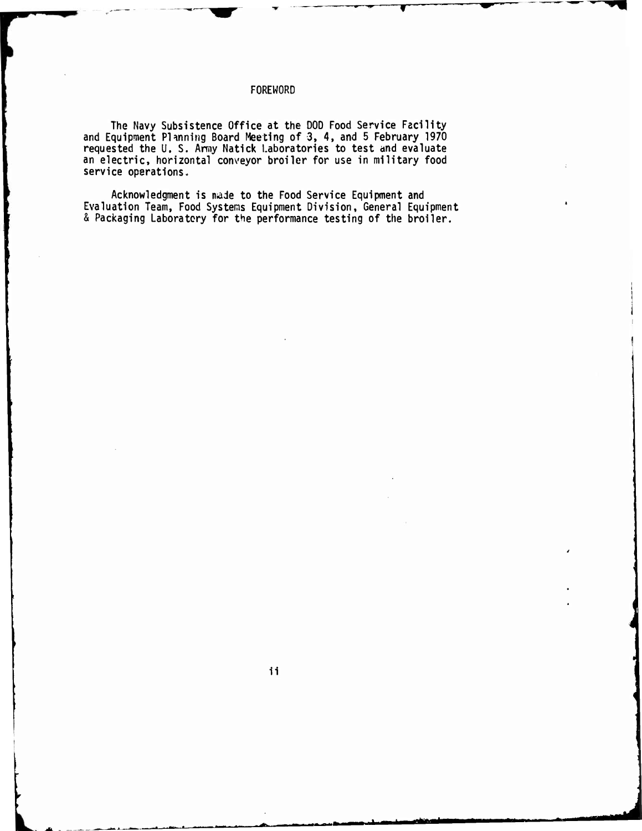#### **FOREWORD**

**The Navy Subsistence Office at the DOD Food Service Facility and Equipment PI inning Board Meeting of 3, 4, and 5 February 1970 requested the U. S. Army Natick Laboratories to test and evaluate an electric, horizontal conveyor broiler for use in military food service operations.**

**Acknowledgment is made to the Food Service Equipment and Evaluation Team, Food Systems Equipment Division, General Equipment & Packaging Laboratory for the performance testing of the broiler.**

**<sup>i</sup> <sup>i</sup> <sup>i</sup> irt <sup>r</sup> —\***

**i**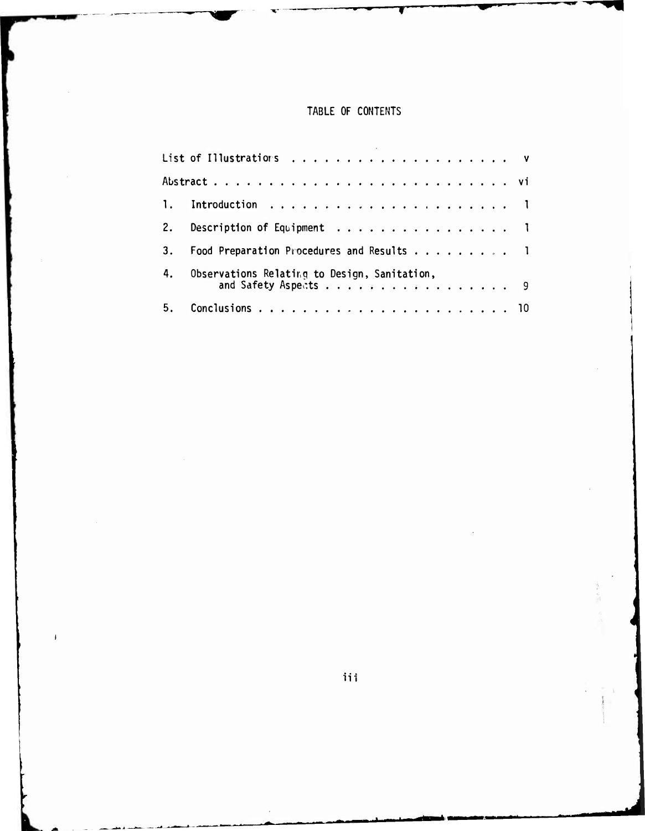### **TABLE OF CONTENTS**

| 2. | Description of Equipment 1                                           |
|----|----------------------------------------------------------------------|
| 3. | Food Preparation Procedures and Results 1                            |
| 4. | Observations Relating to Design, Sanitation,<br>and Safety Aspects 9 |
| 5. |                                                                      |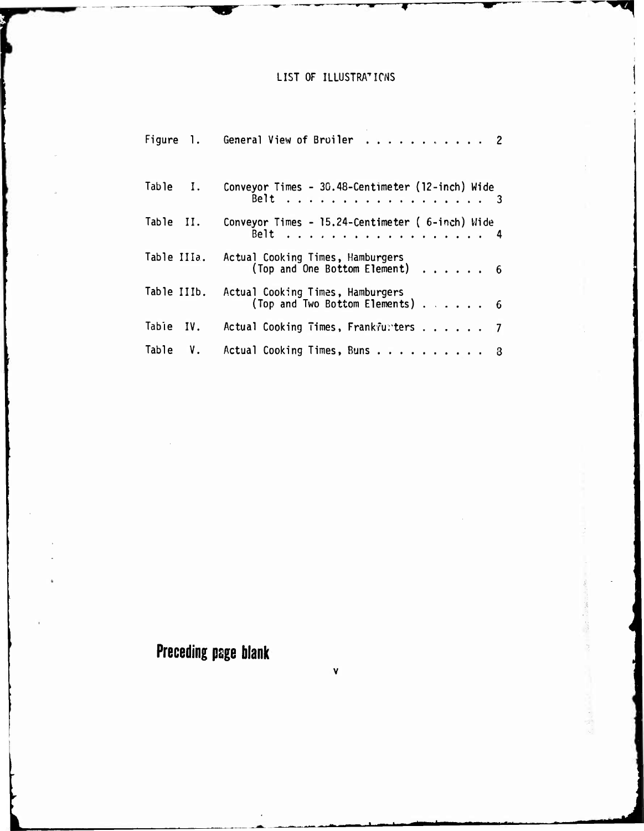## LIST OF ILLUSTRA<mark>TIC</mark>NS

| Figure 1.               | General View of Broiler 2                                                    |
|-------------------------|------------------------------------------------------------------------------|
| Table I.                | Conveyor Times - 30.48-Centimeter (12-inch) Wide<br>Belt                     |
| Table II.               | Conveyor Times - 15.24-Centimeter ( 6-inch) Wide<br>Belt 4                   |
| Table IIIa.             | Actual Cooking Times, Hamburgers<br>(Top and One Bottom Element) 6           |
| Table IIIb.             | Actual Cooking Times, Hamburgers<br>(Top and Two Bottom Elements) $\ldots$ 6 |
| Tabie IV.               | Actual Cooking Times, Frankfurters 7                                         |
| $\mathsf{V}$ .<br>Table | Actual Cooking Times, Buns 8                                                 |

V

**I <**

# **Preceding page blank**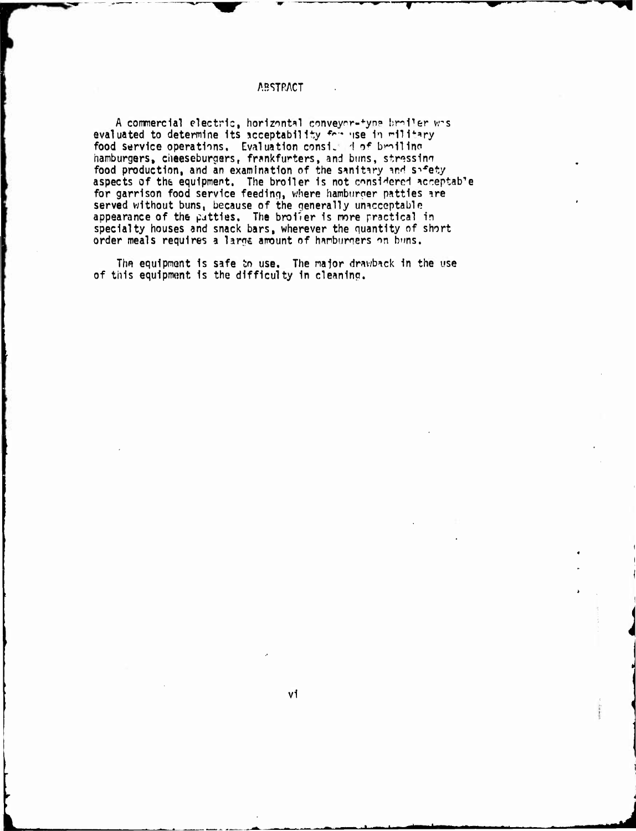**ABSTRACT** 

A commercial electric, horizontal conveyor-type broiler whs evaluated to determine its acceptability for use in military food service operations. Evaluation consi. A of broiling hamburgers, cheeseburgers, frankfurters, and buns, stressing food production, and an examination of the sanitary and safety aspects of the equipment. The broiler is not considered acceptable<br>for garrison food service feeding, where hamburger patties are served without buns, because of the generally unacceptable<br>appearance of the patties. The brotier is more practical in<br>specialty houses and snack bars, wherever the quantity of short order meals requires a large amount of hamburgers on buns.

The equipment is safe to use. The major drawback in the use of this equipment is the difficulty in cleaning.

vi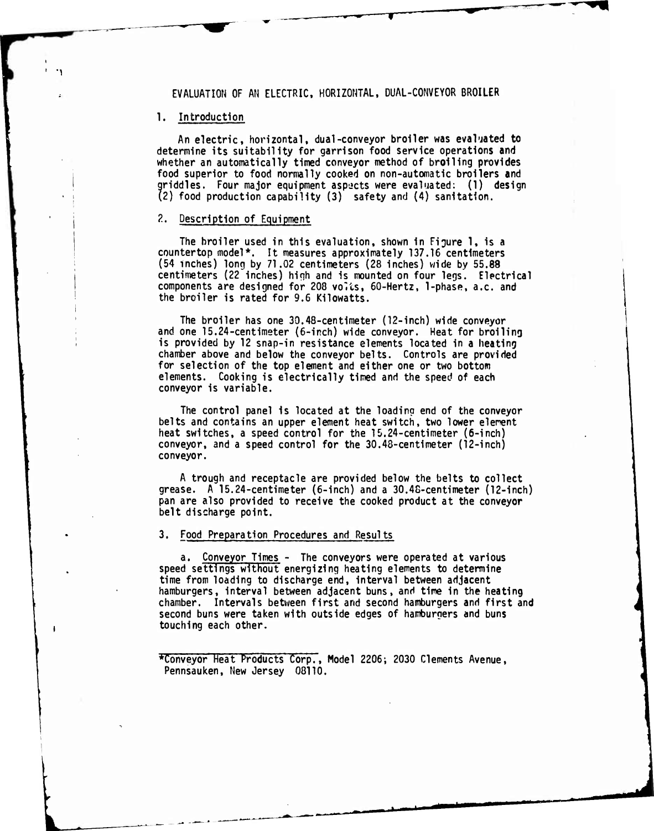#### EVALUATION OF AN ELECTRIC, HORIZONTAL, DUAL-CONVEYOR BROILER

#### 1. Introduction

An electric, horizontal, dual-conveyor broiler was evaluated to determine its suitability for garrison food service operations and whether an automatically timed conveyor method of broiling provides food superior to food normally cooked on non-automatic broilers and griddles. Four major equipment aspects were evaluated: (1) design (2) food production capability (3) safety and (4) sanitation.

#### *?..* Description of Equipment

The broiler used in this evaluation, shown in Figure 1, is a countertop model\*. It measures approximately 137.16 centimeters (54 inches) long by 71.02 centimeters (28 inches) wide by 55.88 centimeters (22 Inches) high and Is mounted on four legs. Electrical components are designed for 208 volts, 60-Hertz, 1-phase, a.c. and the broiler is rated for 9.6 Kilowatts.

The broiler has one 30.48-cent1meter (12-inch) wide conveyor and one 15.24-centimeter (6-inch) wide conveyor. Heat for broiling is provided by <sup>12</sup> snap-in resistance elements located in <sup>a</sup> heating chamber above and below the conveyor belts. Controls are provided for selection of the top element and either one or two bottom elements. Cooking is electrically timed and the speed of each conveyor is variable.

The control panel is located at the loading end of the conveyor belts and contains an upper element heat switch, two lower element heat switches, <sup>a</sup> speed control for the 15.24-centimeter (6-inch) conveyor, and <sup>a</sup> speed control for the 30.48-centimeter (12-inch) conveyor.

<sup>A</sup> trough and receptacle are provided below the belts to collect grease. <sup>A</sup> 15.24-centimeter (6-inch) and a 30.4S-centimeter (12-Inch) pan are also provided to receive the cooked product at the conveyor belt discharge point.

#### 3. Food Preparation Procedures and Results

a. Conveyor Times - The conveyors were operated at various speed settings without energizing heating elements to determine time from loading to discharge end, interval between adjacent hamburgers, interval between adjacent buns, and time in the heating chamber. Intervals between first and second hamburgers and first and second buns were taken with outside edges of hamburgers and buns touching each other.

\*Conveyor Heat Products Corp., Model 2206; 2030 Clements Avenue, Pennsauken, New Jersey 08110.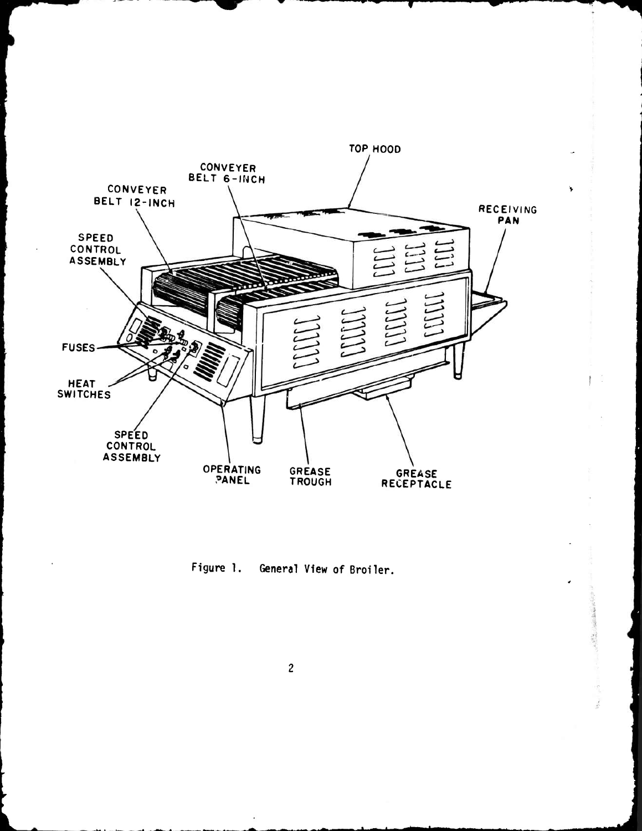

**PW—^B»**

**Figure 1. General View of Broiler.**

 $\overline{c}$ 

*m*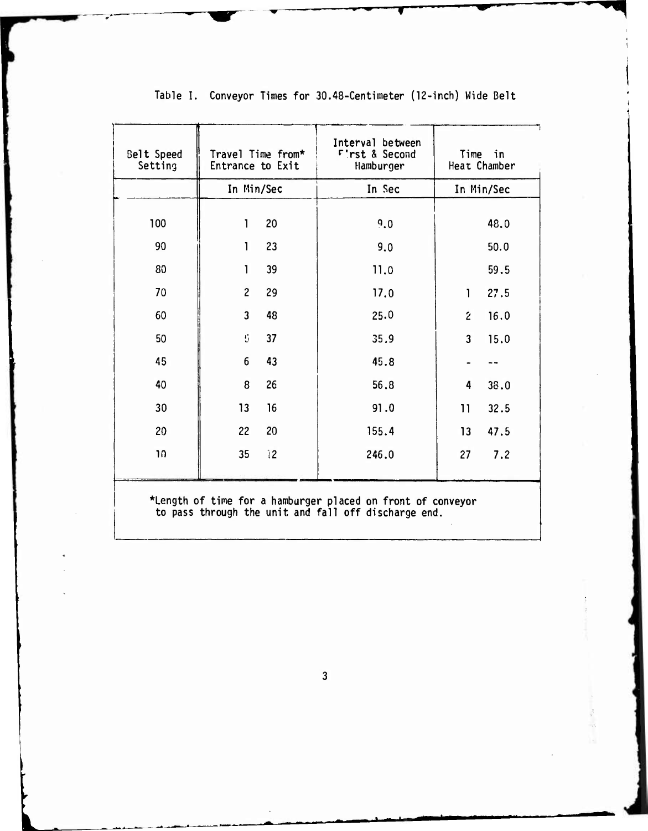| Belt Speed<br>Setting | Travel Time from*<br>Entrance to Exit |    | Interval between<br>First & Second<br>Hamburger |                | Time in<br>Heat Chamber |
|-----------------------|---------------------------------------|----|-------------------------------------------------|----------------|-------------------------|
|                       | In Min/Sec                            |    | In Sec                                          |                | In Min/Sec              |
| 100                   | $\mathbf{I}$                          | 20 | 9.0                                             |                | 48.0                    |
| 90                    | $\mathbf{1}$                          | 23 | 9.0                                             |                | 50.0                    |
| 80                    | $\mathbf{1}$                          | 39 | 11.0                                            |                | 59.5                    |
| 70                    | $\overline{2}$                        | 29 | 17.0                                            | 1              | 27.5                    |
| 60                    | $\overline{3}$                        | 48 | 25.0                                            | $\overline{z}$ | 16.0                    |
| 50                    | $\mathfrak{S}$                        | 37 | 35.9                                            | $\overline{3}$ | 15.0                    |
| 45                    | 6                                     | 43 | 45.8                                            |                |                         |
| 40                    | 8                                     | 26 | 56.8                                            | 4              | 38.0                    |
| 30                    | 13                                    | 16 | 91.0                                            | 11             | 32.5                    |
| 20                    | 22                                    | 20 | 155.4                                           | 13             | 47.5                    |
| 10                    | 35                                    | 12 | 246.0                                           | 27             | 7.2                     |

**Table I. Conveyor Times for 30.48-Centimeter (12-inch) Wide Belt**

**\*Length of time for a hamburger placed on front of conveyor to pass through the unit and fall off discharge end.**

 $\overline{3}$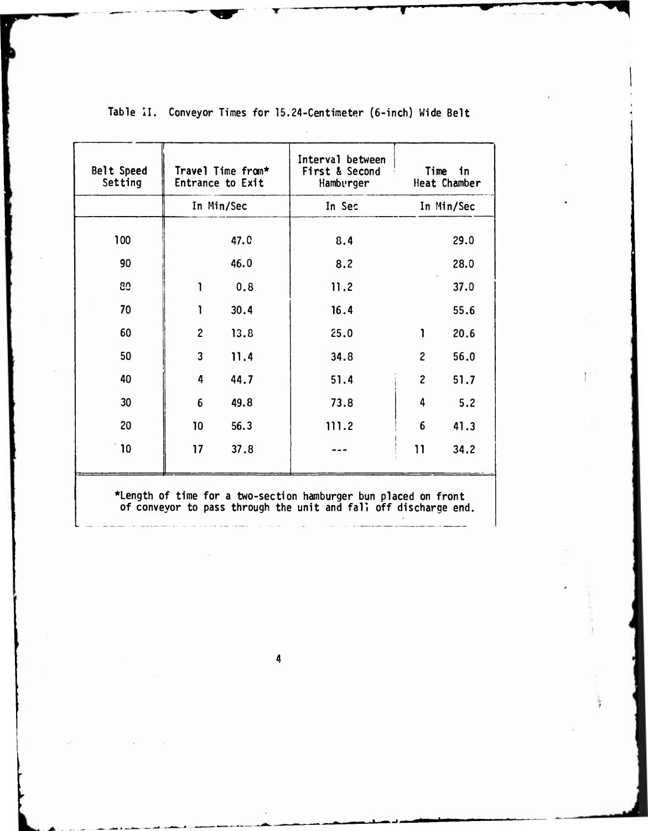| Belt Speed<br>Setting |                | Travel Time from*<br>Entrance to Exit | Interval between<br>First & Second<br>Hamburger |                | Time in<br>Heat Chamber |
|-----------------------|----------------|---------------------------------------|-------------------------------------------------|----------------|-------------------------|
|                       |                | In Min/Sec                            | In Sec                                          |                | In Min/Sec              |
| 100                   |                | 47.C                                  | 8.4                                             |                | 29.0                    |
| 90                    |                | 46.0                                  | 8.2                                             |                | 28.0                    |
| 80                    | 1              | 0.8                                   | 11.2                                            |                | 37.0                    |
| 70                    | 1              | 30.4                                  | 16.4                                            |                | 55.6                    |
| 60                    | $\overline{c}$ | 13.8                                  | 25.0                                            |                | 20.6                    |
| 50                    | 3              | 11.4                                  | 34.8                                            | $\overline{c}$ | 56.0                    |
| 40                    | 4              | 44.7                                  | 51.4                                            | $\overline{c}$ | 51.7                    |
| 30                    | 6              | 49.8                                  | 73.8                                            | 4              | 5.2                     |
| 20                    | 10             | 56.3                                  | 111.2                                           | 6              | 41.3                    |
| 10                    | 17             | 37.8                                  |                                                 | $\mathbf{11}$  | 34.2                    |

**Table II. Conveyor Times for 15.24-Centimeter (6-inch) Wide Belt**

\*Length of time for <sup>a</sup> two-sectic of conveyor to pass through the >n hamburger bun pl< unit and fall off aced on fron<mark>t</mark> discharge end.

..". **.. \_ .... .... \_. ,**

4

-L-^-i -\*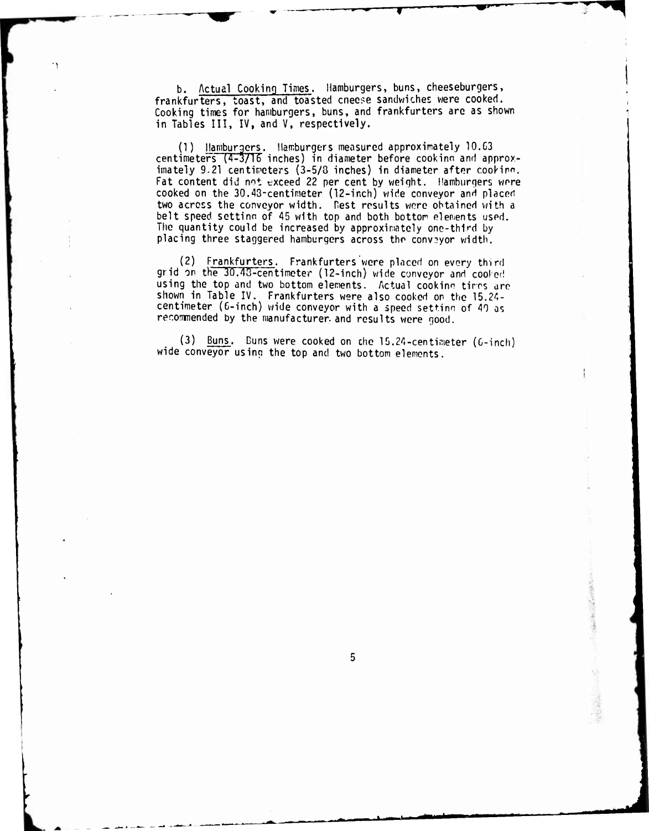b. Actual Cooking Times. Hamburgers, buns, cheeseburgers, frankfurters, toast, and toasted cneese sandwiches were cooked. Cooking times for hamburgers, buns, and frankfurters are as shown in Tables III, IV, and V, respectively.

(1) Hamburgers. Hamburgers measured approximately 10.G3 centimeters (4-3/16 inches) in diameter before cookinn and approximately 9.21 centimeters (3-5/8 inches) in diameter after cookinn. Fat content did not exceed 22 per cent by weight. Hamburgers wore cooked on the 30.43-centimeter (12-inch) wide conveyor and placed two across the conveyor width. Rest results were obtained with a belt speed setting of 45 with top and both bottom elements used. The quantity could be increased by approximately one-third by placing three staggered hamburgers across the conveyor width.

(2) Frankfurters. Frankfurters were placed on *every* third grid on the 30.43-centimeter (12-inch) wide conveyor and cooled using the top and two bottom elements. Actual cooking tires are shown in Table IV. Frankfurters were also cooked on the 15.24 centimeter (6-inch) wide conveyor with <sup>a</sup> speed settinn of 40 as recommended by the manufacturer, and results were good.

(3) Buns. Buns were cooked on the 15.24-centimeter (6-inch) wide conveyor using the top and two bottom elements.

5

**%**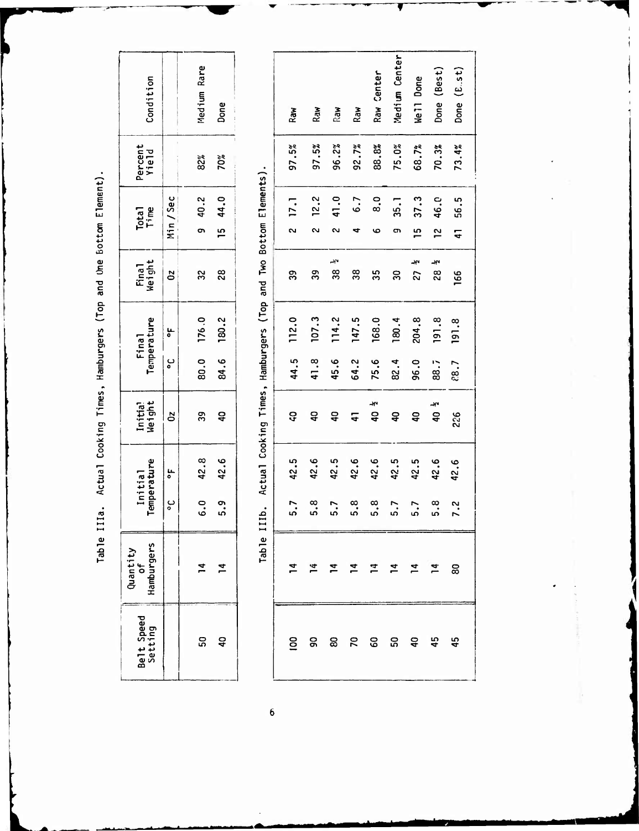| Condition                      |           | Medium Rare    | Done         |
|--------------------------------|-----------|----------------|--------------|
| Percent<br>Yield               |           | 82%            | 70%          |
| Total<br>Time                  | Min / Sec | 9, 40.2        | 15 44.0      |
| Final<br>Weight                | $\approx$ | 32             | 28           |
| Final<br>Temperature           | ac ac     | 80.0 176.0     | 84.6 180.2   |
|                                |           |                |              |
| Initia <sup>1</sup><br>Weight  | 0z        | 39             | ទ្           |
| Temperature<br>Initial         | ac Jo     | 42.8           | 42.6         |
|                                |           | <u>ი</u><br>ა  | ი<br>ი       |
| Hamburgers<br>Quantity<br>of h |           | $\overline{4}$ | $\mathbf{r}$ |
| Belt Speed<br>Setting          |           | ន្ល            | ទ្           |

Table IIIa. Actual Cooking Times, Hamburgers (Top and One Bottom Element).

Table IIIb. Actual Cooking Times, Hamburgers (Top and Two Bottom Elements).

| Raw            | Raw               | Raw                             | Raw            | Center<br>Raw      | Medium Center  | Well Done             | Done (Best)           | Done (E.st)            |  |
|----------------|-------------------|---------------------------------|----------------|--------------------|----------------|-----------------------|-----------------------|------------------------|--|
| 97.5%          | 97.5%             | 96.2%                           | 92.7%          | 88.8%              | 75.0%          | 68.7%                 | 70.3%                 | 73.4%                  |  |
| 17.1<br>$\sim$ | 12.2<br>$\sim$    | 41.0<br>$\overline{\mathbf{c}}$ | 6.7<br>4       | $\frac{0}{8}$<br>Ó | 35.1<br>ຕາ     | 37.3<br>$\frac{5}{1}$ | 46.0<br>$\frac{1}{2}$ | 56.5<br>$\overline{4}$ |  |
| 39             | 39                | Ļ٧<br>38                        | 38             | 35                 | 8              | $27\frac{1}{2}$       | $28\frac{1}{2}$       | 166                    |  |
| 112.0          | 107.3             | 114.2                           | 147.5          | 168.0              | 180.4          | 204.8                 | 191.8                 | 191.8                  |  |
| 44.5           | 41.8              | 45.6                            | 64.2           | 75.6               | 82.4           | 96.0                  | 88.7                  | <b>1.83</b>            |  |
| ę              | 9                 | 9                               | $\overline{4}$ | 40 %               | $\overline{a}$ | 9                     | 40 %                  | 226                    |  |
| 42.5           | 42.6              | 42.5                            | 42.6           | 42.6               | 42.5           | 42.5                  | 42.6                  | 42.6                   |  |
| 5.7            |                   |                                 |                |                    | 3.788077       |                       | 5.8                   | 7.2                    |  |
|                |                   |                                 |                |                    |                |                       |                       |                        |  |
|                | 8 8 8 8 8 9 9 9 9 |                                 |                |                    |                |                       |                       | 45                     |  |

 $\overline{\mathbf{6}}$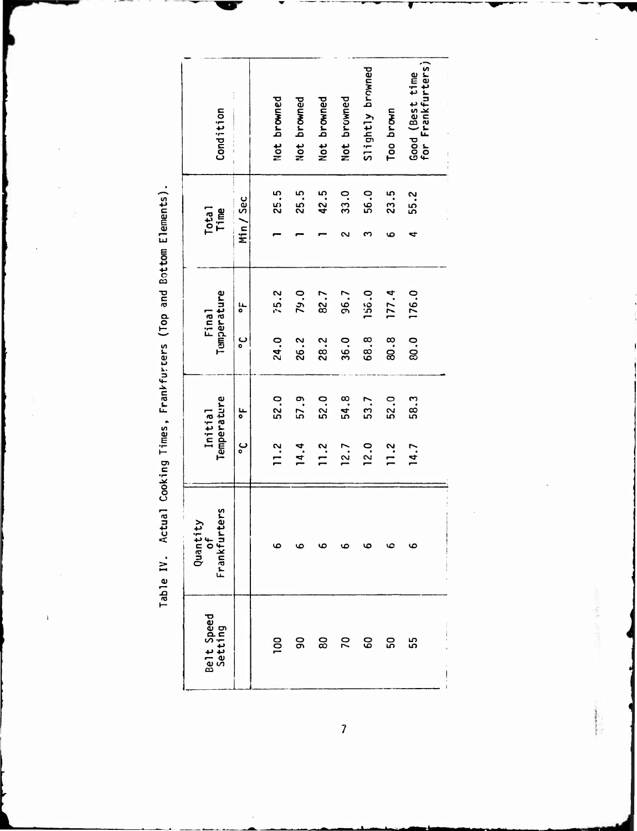Table IV. Actual Cooking Times, Frankfurters (Top and Bottom Elements).

 $\bar{\mathbf{i}}$ 

| Condition                        |            | Not browned | Not browned | Not browned | Not browned | Slightly browned | Too brown | for Frankfurters)<br>Good (Best time |
|----------------------------------|------------|-------------|-------------|-------------|-------------|------------------|-----------|--------------------------------------|
| Total<br>Time                    | Min/Sec    | 25.5        | 25.5        | 42.5        | 33.0        | 56.0             | 23.5      | 55.2                                 |
|                                  |            |             |             |             |             |                  | ဖ         | ෑ                                    |
| Temperature<br>Fina <sub>1</sub> | <b>ينا</b> | 75.2        | 79.0        | 82.7        | 96.7        | 156.0            | 177.4     | 176.0                                |
|                                  | ں<br>ہ     | 24.0        | 26.2        | 28.2        | 36.0        | 68.8             | 80.8      | 80.0                                 |
| Temperature<br>Initial           | ᇰ          | 52.0        | 57.9        | 52.0        | 54.8        | 53.7             | 52.0      | 58.3                                 |
|                                  | ں<br>ہ     | 11.2        | 14.4        | 11.2        | 12.7        | 12.0             | 11.2      | 14.7                                 |
| Frankfurters<br>Quantity         |            |             |             |             |             |                  |           | مە                                   |
| Belt Speed<br>Setting            |            | <u>ទ</u>    | g           | 80          | 20          | 60               | ន         | 55                                   |

**Restaurant**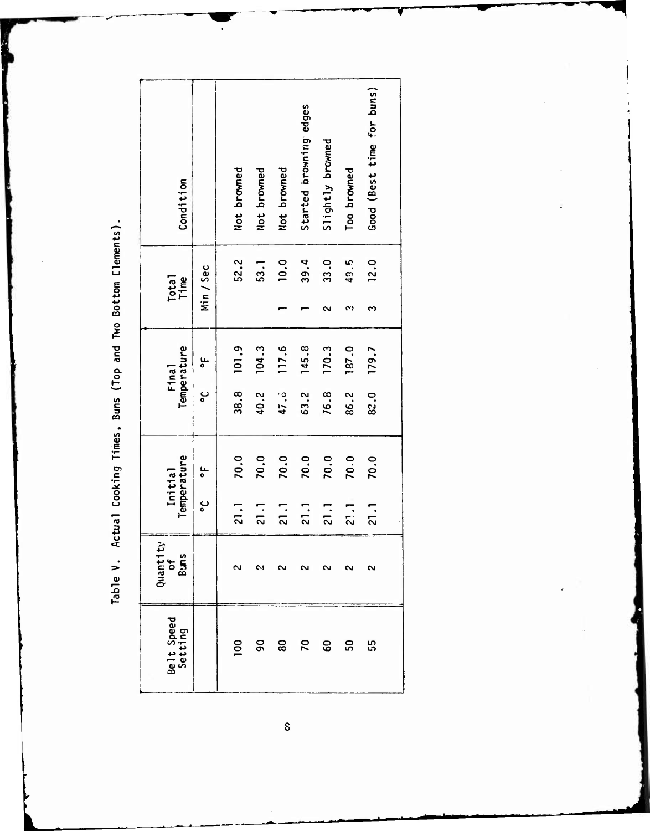Table V. Actual Cooking Times, Buns (Top and Two Bottom Elements).

| Belt Speed<br>Setting | Quantity<br>of<br>Buns |                  | Temperature<br>Initial |        | Temperature<br>Fina <sub>1</sub> |     | Total<br>Time | Condition                 |
|-----------------------|------------------------|------------------|------------------------|--------|----------------------------------|-----|---------------|---------------------------|
|                       |                        | ں<br>ہ           | <u>ی</u><br>ہ          | ں<br>ہ | <u>ی</u><br>ہ                    |     | Min / Sec     |                           |
| $\overline{5}$        |                        | <u>្ពា</u>       | 70.0                   | 38.8   | 101.9                            |     | 52.2          | Not browned               |
| $\overline{9}$        | C.I                    | $\frac{1}{2}$    | 70.0                   | 40.2   | 104.3                            |     | 53.1          | Not browned               |
| 80                    |                        | $\overline{1.1}$ | 70.0                   | 47.0   | 117.6                            |     | 10.0          | Not browned               |
| $\overline{2}$        | ∾                      | $\overline{1.1}$ | 70.0                   | 63.2   | 145.8                            |     | 39.4          | Started browning edges    |
| 60                    | ົ                      | $\overline{c}$   | 70.0                   | 76.8   | 170.3                            |     | 33.0          | Slightly browned          |
| 50                    | ∾                      | 21.1             | 70.0                   | 86.2   | 187.0                            | ر م | 49.5          | Too browned               |
| ပ္ပ                   | ∾                      | 21.1             | 70.0                   | 82.0   | 179.7                            | ო   | 12.0          | Good (Best time for buns) |
|                       |                        |                  |                        |        |                                  |     |               |                           |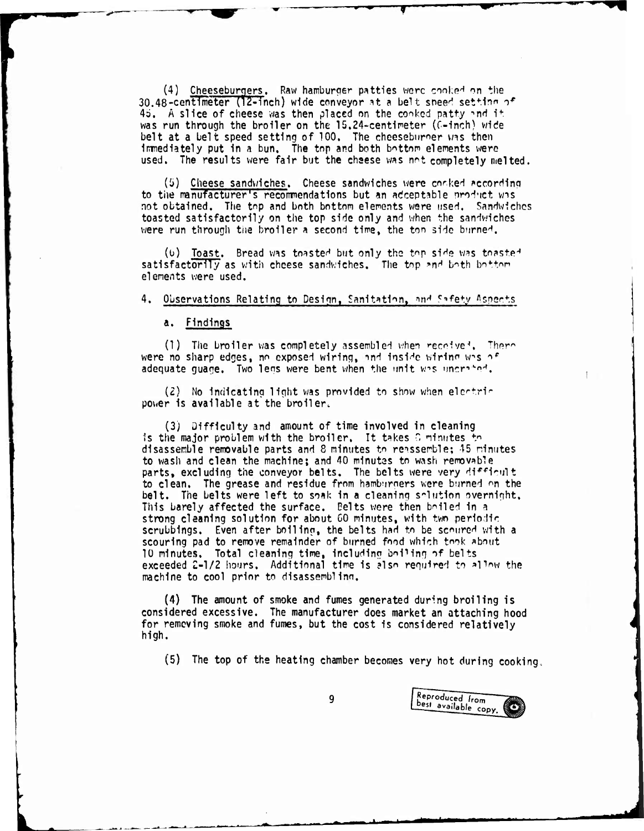$(4)$  Cheeseburgers. Raw hamburger patties were cooked on the 30.48-centimeter (12-inch) wide conveyor at <sup>a</sup> belt sneed settlnn *n\** 45. A slice of cheese was then placed on the cooked patty and it was run through the broiler on the 15,24-centimeter (G-inch) wide belt at a belt speed setting of 100. The cheeseburner was then Immediately put 1n <sup>a</sup> bun. The top and both bottom elements were used. The results were fair but the cheese was not completely melted.

(5) Cheese sandwiches. Cheese sandwiches were corked according to the manufacturer's recommendations but an adceptable product was not obtained. The top and both bottom elements were used. Sandwiches toasted satisfactorily on the top side only and when the sandwiches were run through the broiler a second time, the top side burned.

 $(b)$  Toast. Bread was toasted but only the top side was toasted satisfactorily as with cheese sandwiches. The top and both bottom elements were used.

#### 4. Observations Relating to Design, Sanitation, and Safety Aspects

#### a. Findings

(1) The broiler was completely assembled when  $reccive^*$ . There were no sharp edges, no exposed wiring, and inside wiring was af adequate guage. Two legs were bent when the unit was uncrabed.

 $(2)$  No indicating light was provided to show when electric pover is available at the broiler.

(3) Difficulty and amount of time involved in cleaning is the major problem with the broiler. It takes *a* minutes to disassemble removable parts and 8 minutes to reassemble; 15 minutes to wash and clean the machine; and 40 minutes to wash removable parts, excluding the conveyor belts. The belts were very difficult to clean. The grease and residue from hamburners were burned on the belt. The belts were left to soak in <sup>a</sup> cleaning solution overnight. This barely affected the surface. Belts were then boiled in a strong cleaning solution for about <sup>60</sup> minutes, with two periodic scrubblngs. Even after boiling, the belts had to be scoured with <sup>a</sup> scouring pad to remove remainder of burned food which took about <sup>10</sup> minutes. Total cleaning time, Including boiling of belts exceeded 2-1/2 hours. Additional time 1s also required to allow the machine to cool prior to disassembling,

(4) The amount of smoke and fumes generated during broiling is considered excessive. The manufacturer does market an attaching hood for remeving smoke and fumes, but the cost is considered relatively high.

(5) The top of the heating chamber becomes very hot during cooking,